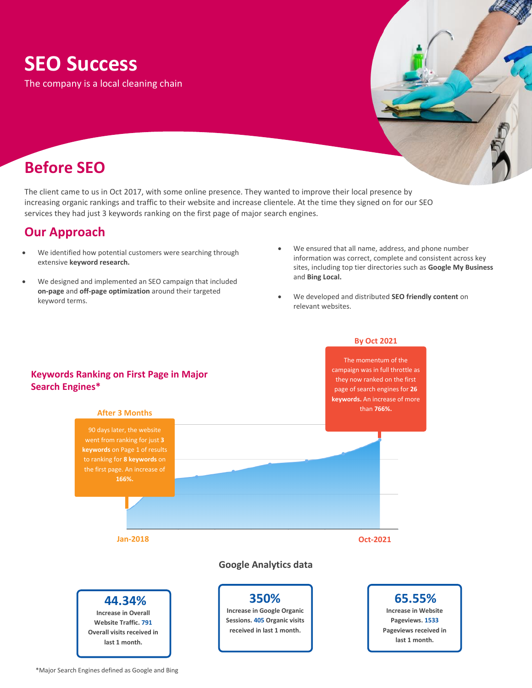# **SEO Success**

The company is a local cleaning chain

## **Before SEO**

The client came to us in Oct 2017, with some online presence. They wanted to improve their local presence by increasing organic rankings and traffic to their website and increase clientele. At the time they signed on for our SEO services they had just 3 keywords ranking on the first page of major search engines.

### **Our Approach**

- We identified how potential customers were searching through extensive **keyword research.**
- We designed and implemented an SEO campaign that included **on-page** and **off-page optimization** around their targeted keyword terms.
- We ensured that all name, address, and phone number information was correct, complete and consistent across key sites, including top tier directories such as **Google My Business** and **Bing Local.**
- We developed and distributed **SEO friendly content** on relevant websites.